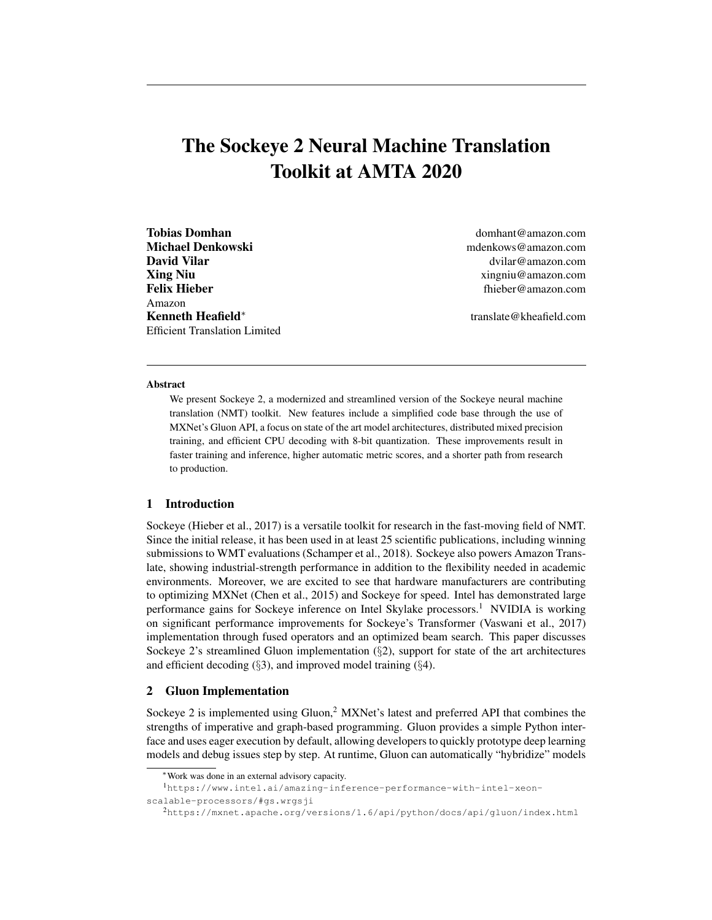# The Sockeye 2 Neural Machine Translation Toolkit at AMTA 2020

**Tobias Domhan** domhant@amazon.com Michael Denkowski metal mental mental mental mental mental mental metal media metal metal metal metal metal me David Vilar dvilar dvilar dvilar dvilar dvilar dvilar dvilar dvilar dvilar dvilar dvilar dvilar dvilar dvilar dvilar dvilar dvilar dvilar dvilar dvilar dvilar dvilar dvilar dvilar dvilar dvilar dvilar dvilar dvilar dvilar **Xing Niu** xingniu@amazon.com **Felix Hieber for the state of the state of the state of the state of the state of the state of the state of the state of the state of the state of the state of the state of the state of the state of the state of the sta** Amazon Kenneth Heafield<sup>∗</sup> Efficient Translation Limited

translate@kheafield.com

#### Abstract

We present Sockeye 2, a modernized and streamlined version of the Sockeye neural machine translation (NMT) toolkit. New features include a simplified code base through the use of MXNet's Gluon API, a focus on state of the art model architectures, distributed mixed precision training, and efficient CPU decoding with 8-bit quantization. These improvements result in faster training and inference, higher automatic metric scores, and a shorter path from research to production.

# 1 Introduction

Sockeye (Hieber et al., 2017) is a versatile toolkit for research in the fast-moving field of NMT. Since the initial release, it has been used in at least 25 scientific publications, including winning submissions to WMT evaluations (Schamper et al., 2018). Sockeye also powers Amazon Translate, showing industrial-strength performance in addition to the flexibility needed in academic environments. Moreover, we are excited to see that hardware manufacturers are contributing to optimizing MXNet (Chen et al., 2015) and Sockeye for speed. Intel has demonstrated large performance gains for Sockeye inference on Intel Skylake processors.<sup>1</sup> NVIDIA is working on significant performance improvements for Sockeye's Transformer (Vaswani et al., 2017) implementation through fused operators and an optimized beam search. This paper discusses Sockeye 2's streamlined Gluon implementation  $(\S 2)$ , support for state of the art architectures and efficient decoding  $(\S 3)$ , and improved model training  $(\S 4)$ .

# 2 Gluon Implementation

Sockeye 2 is implemented using Gluon,<sup>2</sup> MXNet's latest and preferred API that combines the strengths of imperative and graph-based programming. Gluon provides a simple Python interface and uses eager execution by default, allowing developers to quickly prototype deep learning models and debug issues step by step. At runtime, Gluon can automatically "hybridize" models

<sup>∗</sup>Work was done in an external advisory capacity.

<sup>1</sup>https://www.intel.ai/amazing-inference-performance-with-intel-xeonscalable-processors/#gs.wrgsji

<sup>2</sup>https://mxnet.apache.org/versions/1.6/api/python/docs/api/gluon/index.html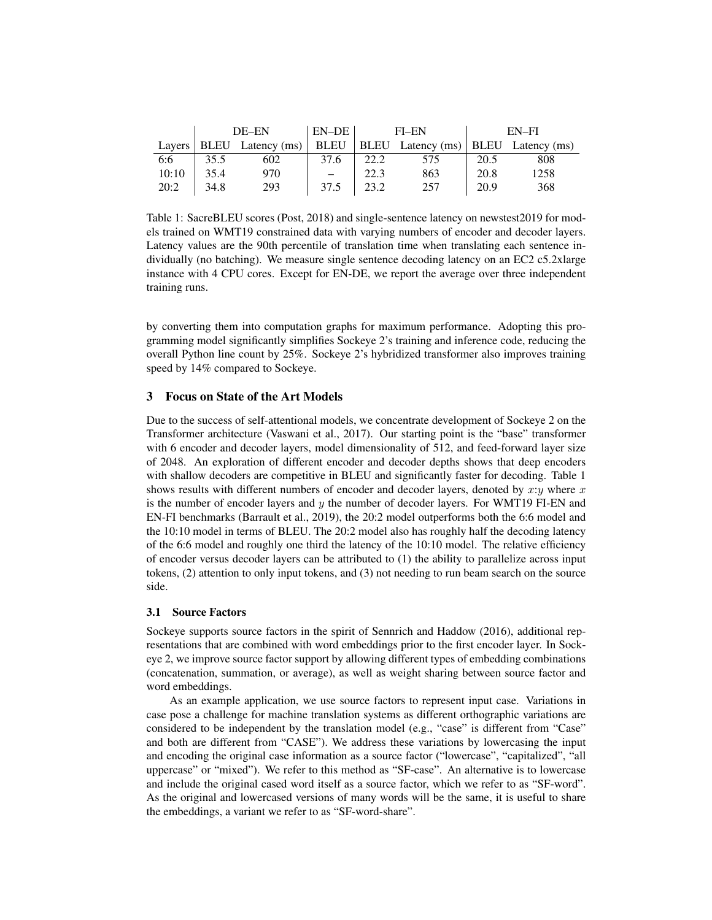|       | DE-EN |                              | EN–DE | FI-EN |                                       | $EN-FI$ |      |
|-------|-------|------------------------------|-------|-------|---------------------------------------|---------|------|
|       |       | Layers   BLEU Latency $(ms)$ | BLEU  |       | BLEU Latency (ms)   BLEU Latency (ms) |         |      |
| 6:6   | 35.5  | 602                          | 37.6  | 22.2  | 575                                   | 20.5    | 808  |
| 10:10 | 35.4  | 970                          |       | 22.3  | 863                                   | 20.8    | 1258 |
| 20:2  | 34.8  | 293                          | 37.5  | 23.2  | 257                                   | 20.9    | 368  |

Table 1: SacreBLEU scores (Post, 2018) and single-sentence latency on newstest2019 for models trained on WMT19 constrained data with varying numbers of encoder and decoder layers. Latency values are the 90th percentile of translation time when translating each sentence individually (no batching). We measure single sentence decoding latency on an EC2 c5.2xlarge instance with 4 CPU cores. Except for EN-DE, we report the average over three independent training runs.

by converting them into computation graphs for maximum performance. Adopting this programming model significantly simplifies Sockeye 2's training and inference code, reducing the overall Python line count by 25%. Sockeye 2's hybridized transformer also improves training speed by 14% compared to Sockeye.

## 3 Focus on State of the Art Models

Due to the success of self-attentional models, we concentrate development of Sockeye 2 on the Transformer architecture (Vaswani et al., 2017). Our starting point is the "base" transformer with 6 encoder and decoder layers, model dimensionality of 512, and feed-forward layer size of 2048. An exploration of different encoder and decoder depths shows that deep encoders with shallow decoders are competitive in BLEU and significantly faster for decoding. Table 1 shows results with different numbers of encoder and decoder layers, denoted by  $x: y$  where x is the number of encoder layers and  $y$  the number of decoder layers. For WMT19 FI-EN and EN-FI benchmarks (Barrault et al., 2019), the 20:2 model outperforms both the 6:6 model and the 10:10 model in terms of BLEU. The 20:2 model also has roughly half the decoding latency of the 6:6 model and roughly one third the latency of the 10:10 model. The relative efficiency of encoder versus decoder layers can be attributed to (1) the ability to parallelize across input tokens, (2) attention to only input tokens, and (3) not needing to run beam search on the source side.

#### 3.1 Source Factors

Sockeye supports source factors in the spirit of Sennrich and Haddow (2016), additional representations that are combined with word embeddings prior to the first encoder layer. In Sockeye 2, we improve source factor support by allowing different types of embedding combinations (concatenation, summation, or average), as well as weight sharing between source factor and word embeddings.

As an example application, we use source factors to represent input case. Variations in case pose a challenge for machine translation systems as different orthographic variations are considered to be independent by the translation model (e.g., "case" is different from "Case" and both are different from "CASE"). We address these variations by lowercasing the input and encoding the original case information as a source factor ("lowercase", "capitalized", "all uppercase" or "mixed"). We refer to this method as "SF-case". An alternative is to lowercase and include the original cased word itself as a source factor, which we refer to as "SF-word". As the original and lowercased versions of many words will be the same, it is useful to share the embeddings, a variant we refer to as "SF-word-share".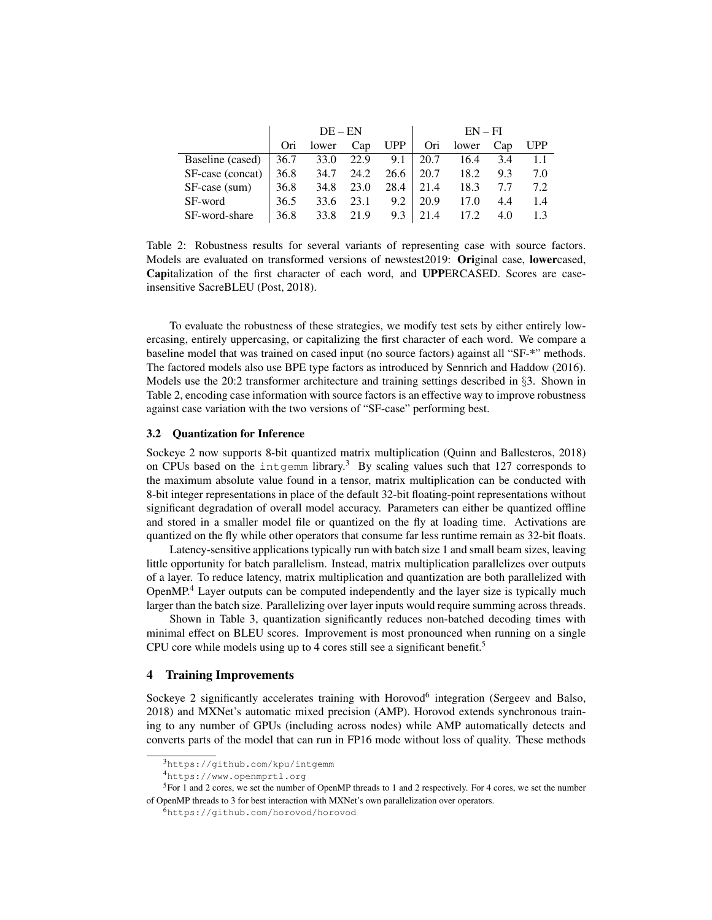|                  | $DE - EN$ |       |      |      | $EN - FI$ |       |     |            |
|------------------|-----------|-------|------|------|-----------|-------|-----|------------|
|                  | Ori.      | lower | Cap  | UPP  | Ori       | lower | Cap | <b>UPP</b> |
| Baseline (cased) | 36.7      | 33.0  | 22.9 | 9.1  | 20.7      | 16.4  | 3.4 |            |
| SF-case (concat) | 36.8      | 34.7  | 24.2 | 26.6 | 20.7      | 18.2  | 9.3 | 7.0        |
| SF-case (sum)    | 36.8      | 34.8  | 23.0 | 28.4 | 21.4      | 18.3  | 7.7 | 7.2        |
| SF-word          | 36.5      | 33.6  | 23.1 | 9.2  | 20.9      | 17.0  | 4.4 | 1.4        |
| SF-word-share    | 36.8      | 33.8  | 21.9 | 9.3  | 21.4      | 17.2  | 4.0 | 1.3        |

Table 2: Robustness results for several variants of representing case with source factors. Models are evaluated on transformed versions of newstest2019: Original case, lowercased, Capitalization of the first character of each word, and UPPERCASED. Scores are caseinsensitive SacreBLEU (Post, 2018).

To evaluate the robustness of these strategies, we modify test sets by either entirely lowercasing, entirely uppercasing, or capitalizing the first character of each word. We compare a baseline model that was trained on cased input (no source factors) against all "SF-\*" methods. The factored models also use BPE type factors as introduced by Sennrich and Haddow (2016). Models use the 20:2 transformer architecture and training settings described in  $\S$ 3. Shown in Table 2, encoding case information with source factors is an effective way to improve robustness against case variation with the two versions of "SF-case" performing best.

## 3.2 Quantization for Inference

Sockeye 2 now supports 8-bit quantized matrix multiplication (Quinn and Ballesteros, 2018) on CPUs based on the intgemm library.<sup>3</sup> By scaling values such that 127 corresponds to the maximum absolute value found in a tensor, matrix multiplication can be conducted with 8-bit integer representations in place of the default 32-bit floating-point representations without significant degradation of overall model accuracy. Parameters can either be quantized offline and stored in a smaller model file or quantized on the fly at loading time. Activations are quantized on the fly while other operators that consume far less runtime remain as 32-bit floats.

Latency-sensitive applications typically run with batch size 1 and small beam sizes, leaving little opportunity for batch parallelism. Instead, matrix multiplication parallelizes over outputs of a layer. To reduce latency, matrix multiplication and quantization are both parallelized with OpenMP.<sup>4</sup> Layer outputs can be computed independently and the layer size is typically much larger than the batch size. Parallelizing over layer inputs would require summing across threads.

Shown in Table 3, quantization significantly reduces non-batched decoding times with minimal effect on BLEU scores. Improvement is most pronounced when running on a single CPU core while models using up to 4 cores still see a significant benefit.<sup>5</sup>

## 4 Training Improvements

Sockeye 2 significantly accelerates training with Horovod<sup>6</sup> integration (Sergeev and Balso, 2018) and MXNet's automatic mixed precision (AMP). Horovod extends synchronous training to any number of GPUs (including across nodes) while AMP automatically detects and converts parts of the model that can run in FP16 mode without loss of quality. These methods

<sup>3</sup>https://github.com/kpu/intgemm

<sup>4</sup>https://www.openmprtl.org

<sup>5</sup>For 1 and 2 cores, we set the number of OpenMP threads to 1 and 2 respectively. For 4 cores, we set the number of OpenMP threads to 3 for best interaction with MXNet's own parallelization over operators.

<sup>6</sup>https://github.com/horovod/horovod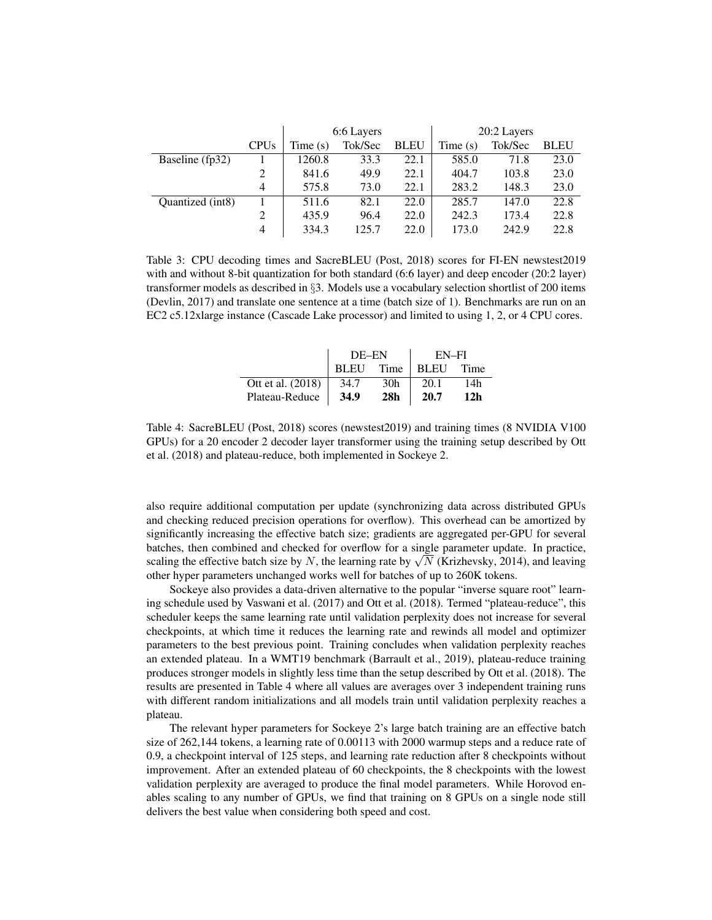|                  |             | 6:6 Layers |         |             | 20:2 Layers |         |             |
|------------------|-------------|------------|---------|-------------|-------------|---------|-------------|
|                  | <b>CPUs</b> | Time (s)   | Tok/Sec | <b>BLEU</b> | Time $(s)$  | Tok/Sec | <b>BLEU</b> |
| Baseline (fp32)  |             | 1260.8     | 33.3    | 22.1        | 585.0       | 71.8    | 23.0        |
|                  |             | 841.6      | 49.9    | 22.1        | 404.7       | 103.8   | 23.0        |
|                  | 4           | 575.8      | 73.0    | 22.1        | 283.2       | 148.3   | 23.0        |
| Quantized (int8) |             | 511.6      | 82.1    | 22.0        | 285.7       | 147.0   | 22.8        |
|                  |             | 435.9      | 96.4    | 22.0        | 242.3       | 173.4   | 22.8        |
|                  | 4           | 334.3      | 125.7   | 22.0        | 173.0       | 242.9   | 22.8        |

Table 3: CPU decoding times and SacreBLEU (Post, 2018) scores for FI-EN newstest2019 with and without 8-bit quantization for both standard (6:6 layer) and deep encoder (20:2 layer) transformer models as described in §3. Models use a vocabulary selection shortlist of 200 items (Devlin, 2017) and translate one sentence at a time (batch size of 1). Benchmarks are run on an EC2 c5.12xlarge instance (Cascade Lake processor) and limited to using 1, 2, or 4 CPU cores.

|                   | DE-EN       |      | EN-FI |      |  |
|-------------------|-------------|------|-------|------|--|
|                   | <b>BLEU</b> | Time | BLEU  | Time |  |
| Ott et al. (2018) | 34.7        | 30h  | 20.1  | 14h  |  |
| Plateau-Reduce    | 34.9        | 28h  | 20.7  | 12h  |  |

Table 4: SacreBLEU (Post, 2018) scores (newstest2019) and training times (8 NVIDIA V100 GPUs) for a 20 encoder 2 decoder layer transformer using the training setup described by Ott et al. (2018) and plateau-reduce, both implemented in Sockeye 2.

also require additional computation per update (synchronizing data across distributed GPUs and checking reduced precision operations for overflow). This overhead can be amortized by significantly increasing the effective batch size; gradients are aggregated per-GPU for several batches, then combined and checked for overflow for a single parameter update. In practice, batches, then combined and checked for overflow for a single parameter update. In practice, scaling the effective batch size by N, the learning rate by  $\sqrt{N}$  (Krizhevsky, 2014), and leaving other hyper parameters unchanged works well for batches of up to 260K tokens.

Sockeye also provides a data-driven alternative to the popular "inverse square root" learning schedule used by Vaswani et al. (2017) and Ott et al. (2018). Termed "plateau-reduce", this scheduler keeps the same learning rate until validation perplexity does not increase for several checkpoints, at which time it reduces the learning rate and rewinds all model and optimizer parameters to the best previous point. Training concludes when validation perplexity reaches an extended plateau. In a WMT19 benchmark (Barrault et al., 2019), plateau-reduce training produces stronger models in slightly less time than the setup described by Ott et al. (2018). The results are presented in Table 4 where all values are averages over 3 independent training runs with different random initializations and all models train until validation perplexity reaches a plateau.

The relevant hyper parameters for Sockeye 2's large batch training are an effective batch size of 262,144 tokens, a learning rate of 0.00113 with 2000 warmup steps and a reduce rate of 0.9, a checkpoint interval of 125 steps, and learning rate reduction after 8 checkpoints without improvement. After an extended plateau of 60 checkpoints, the 8 checkpoints with the lowest validation perplexity are averaged to produce the final model parameters. While Horovod enables scaling to any number of GPUs, we find that training on 8 GPUs on a single node still delivers the best value when considering both speed and cost.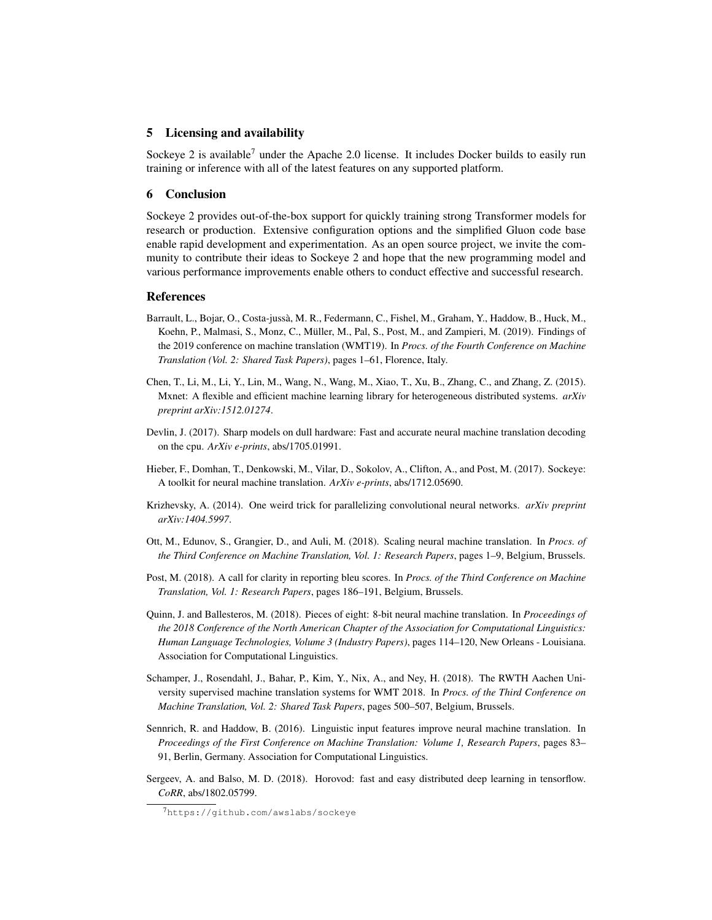## 5 Licensing and availability

Sockeye 2 is available<sup>7</sup> under the Apache 2.0 license. It includes Docker builds to easily run training or inference with all of the latest features on any supported platform.

## 6 Conclusion

Sockeye 2 provides out-of-the-box support for quickly training strong Transformer models for research or production. Extensive configuration options and the simplified Gluon code base enable rapid development and experimentation. As an open source project, we invite the community to contribute their ideas to Sockeye 2 and hope that the new programming model and various performance improvements enable others to conduct effective and successful research.

#### References

- Barrault, L., Bojar, O., Costa-jussa, M. R., Federmann, C., Fishel, M., Graham, Y., Haddow, B., Huck, M., ` Koehn, P., Malmasi, S., Monz, C., Müller, M., Pal, S., Post, M., and Zampieri, M. (2019). Findings of the 2019 conference on machine translation (WMT19). In *Procs. of the Fourth Conference on Machine Translation (Vol. 2: Shared Task Papers)*, pages 1–61, Florence, Italy.
- Chen, T., Li, M., Li, Y., Lin, M., Wang, N., Wang, M., Xiao, T., Xu, B., Zhang, C., and Zhang, Z. (2015). Mxnet: A flexible and efficient machine learning library for heterogeneous distributed systems. *arXiv preprint arXiv:1512.01274*.
- Devlin, J. (2017). Sharp models on dull hardware: Fast and accurate neural machine translation decoding on the cpu. *ArXiv e-prints*, abs/1705.01991.
- Hieber, F., Domhan, T., Denkowski, M., Vilar, D., Sokolov, A., Clifton, A., and Post, M. (2017). Sockeye: A toolkit for neural machine translation. *ArXiv e-prints*, abs/1712.05690.
- Krizhevsky, A. (2014). One weird trick for parallelizing convolutional neural networks. *arXiv preprint arXiv:1404.5997*.
- Ott, M., Edunov, S., Grangier, D., and Auli, M. (2018). Scaling neural machine translation. In *Procs. of the Third Conference on Machine Translation, Vol. 1: Research Papers*, pages 1–9, Belgium, Brussels.
- Post, M. (2018). A call for clarity in reporting bleu scores. In *Procs. of the Third Conference on Machine Translation, Vol. 1: Research Papers*, pages 186–191, Belgium, Brussels.
- Quinn, J. and Ballesteros, M. (2018). Pieces of eight: 8-bit neural machine translation. In *Proceedings of the 2018 Conference of the North American Chapter of the Association for Computational Linguistics: Human Language Technologies, Volume 3 (Industry Papers)*, pages 114–120, New Orleans - Louisiana. Association for Computational Linguistics.
- Schamper, J., Rosendahl, J., Bahar, P., Kim, Y., Nix, A., and Ney, H. (2018). The RWTH Aachen University supervised machine translation systems for WMT 2018. In *Procs. of the Third Conference on Machine Translation, Vol. 2: Shared Task Papers*, pages 500–507, Belgium, Brussels.
- Sennrich, R. and Haddow, B. (2016). Linguistic input features improve neural machine translation. In *Proceedings of the First Conference on Machine Translation: Volume 1, Research Papers*, pages 83– 91, Berlin, Germany. Association for Computational Linguistics.
- Sergeev, A. and Balso, M. D. (2018). Horovod: fast and easy distributed deep learning in tensorflow. *CoRR*, abs/1802.05799.

<sup>7</sup>https://github.com/awslabs/sockeye